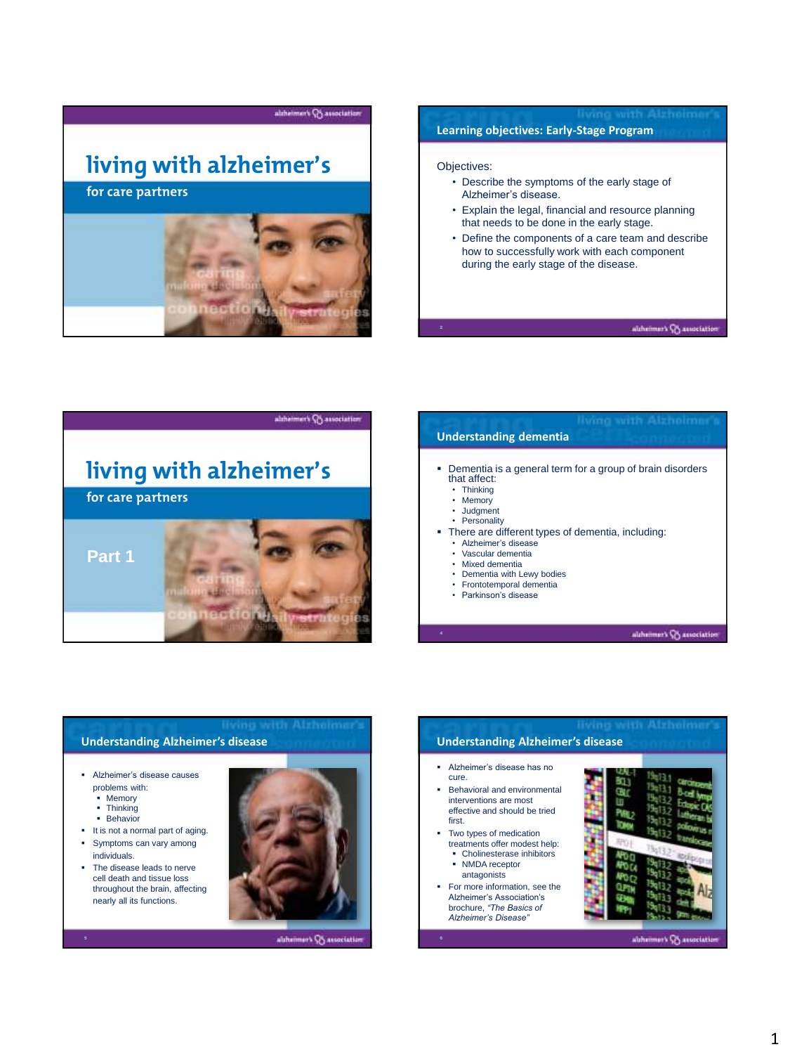

### **Learning objectives: Early-Stage Program**

### **living with all the control of the control of the control of the control of the control of the control of the control of the control of the control of the control of the control of the control of the control of the contro**

- Alzheimer's disease. • Describe the symptoms of the early stage of
- Explain the legal, financial and resource planning that needs to be done in the early stage.
- Define the components of a care team and describe how to successfully work with each component during the early stage of the disease.

#### altheimer's G association



# **Understanding dementia**

- **Dementia is a general term for a group of brain disorders**<br>that affect: that affect:
	- Thinking
	- Memory
	- Judgment
	- **Personality**
- There are different types of dementia, including:
	- Alzheimer's disease
	- Vascular dementia
	- Mixed dementia
	- Dementia with Lewy bodies • Frontotemporal dementia
	- Parkinson's disease

altheimer's Consociation

### **Understanding Alzheimer's disease**

- problems with:
- = Memory<br>= Thinking
- **Thinking**
- **Behavior**
- It is not a normal part of aging. **Symptoms can vary among** individuals.
- The disease leads to nerve cell death and tissue loss throughout the brain, affecting nearly all its functions.



abheimer's Consociation

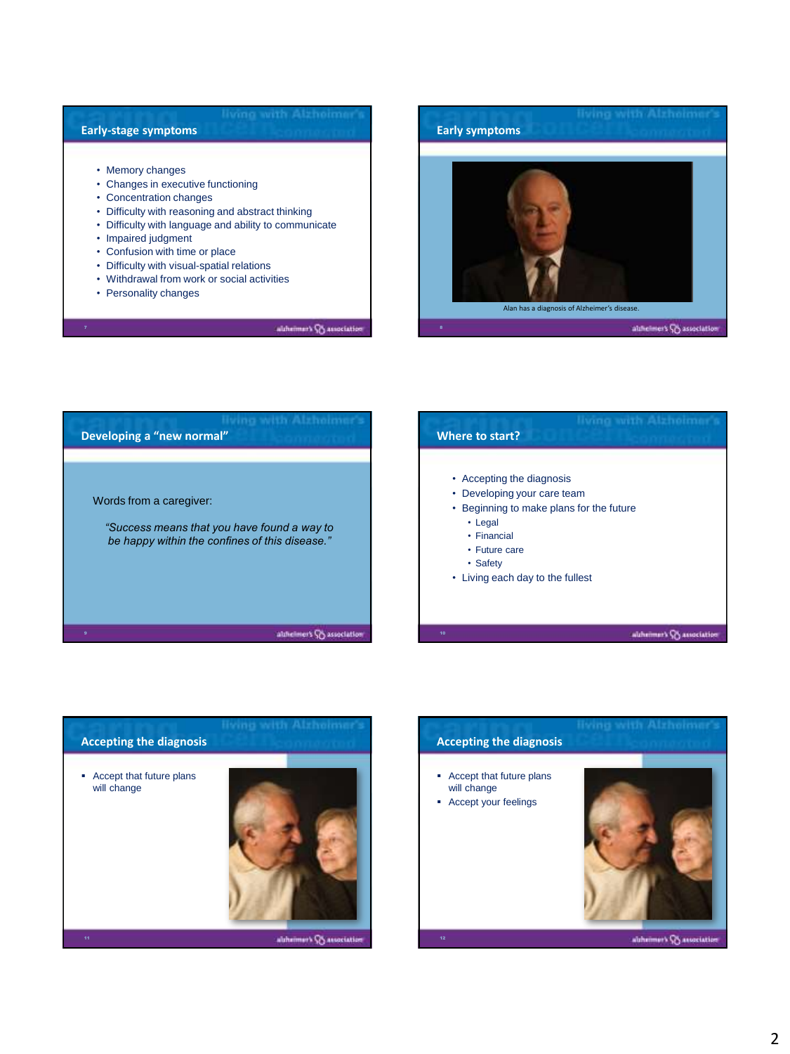## **Early-stage symptoms**

- **living with alzheimer's** Memory changes
- Changes in executive functioning
- Changes in executive in
- Difficulty with reasoning and abstract thinking
- Difficulty with language and ability to communicate
- Impaired judgment
- Confusion with time or place
- Difficulty with visual-spatial relations
- Withdrawal from work or social activities
- Personality changes

altheimer's Co association



| living with Alzholmer's<br>Developing a "new normal"                                                                     | living with Alzheimer's<br>Where to start?                                                                                                                                                      |
|--------------------------------------------------------------------------------------------------------------------------|-------------------------------------------------------------------------------------------------------------------------------------------------------------------------------------------------|
| Words from a caregiver:<br>"Success means that you have found a way to<br>be happy within the confines of this disease." | • Accepting the diagnosis<br>• Developing your care team<br>• Beginning to make plans for the future<br>• Legal<br>• Financial<br>• Future care<br>• Safety<br>• Living each day to the fullest |
| althelmers CS association                                                                                                | altheimer's CA association<br>10                                                                                                                                                                |



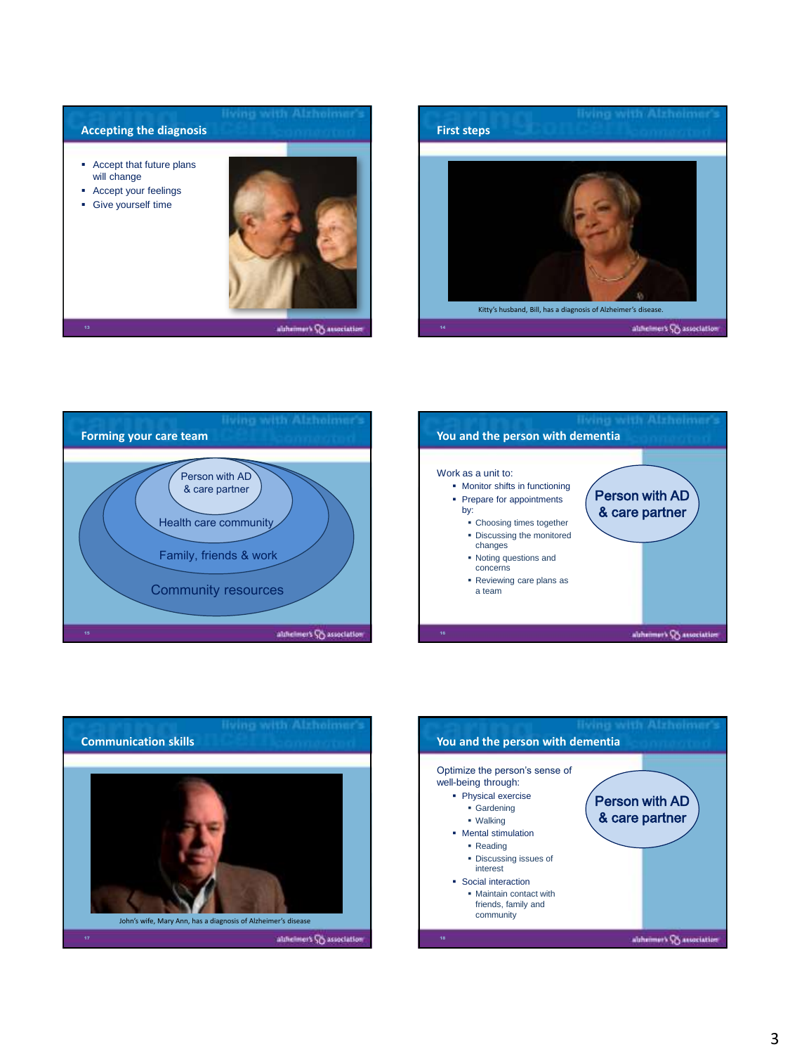









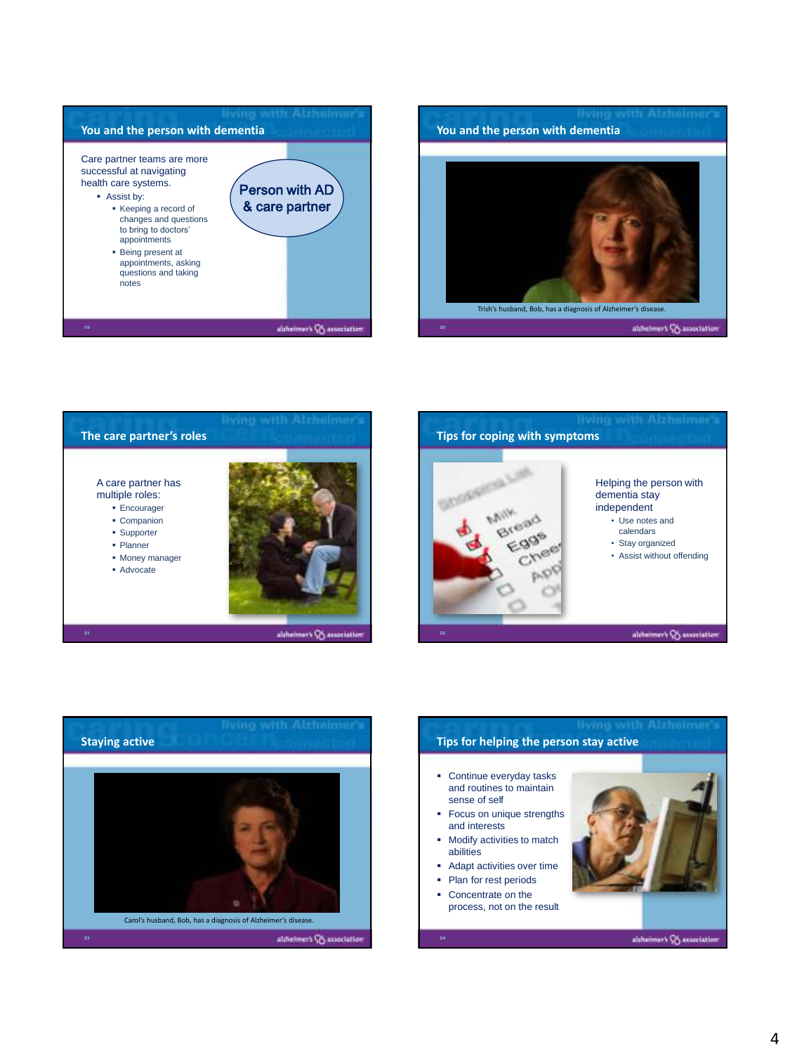







- Use notes and calendars
- Stay organized
- Assist without offending

altheimer's Consociation